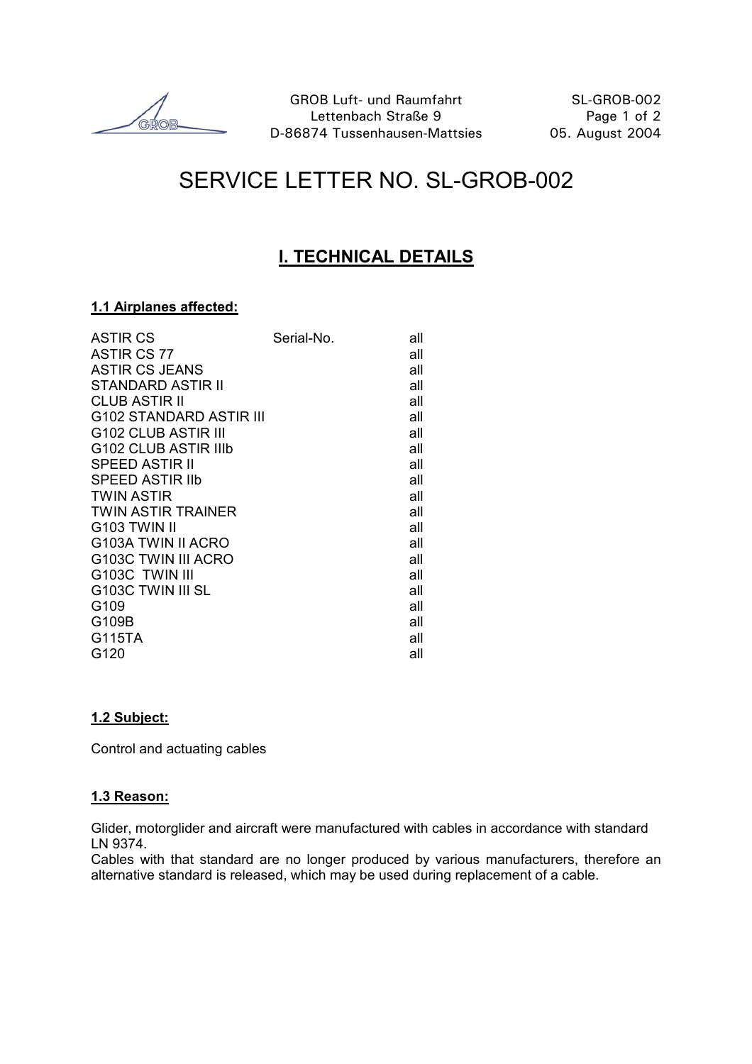GROB

# SERVICE LETTER NO. SL-GROB-002

### **I. TECHNICAL DETAILS**

#### **1.1 Airplanes affected:**

| <b>ASTIR CS</b>                 | Serial-No. | all |
|---------------------------------|------------|-----|
| ASTIR CS 77                     |            | all |
| <b>ASTIR CS JEANS</b>           |            | all |
| STANDARD ASTIR II               |            | all |
| <b>CLUB ASTIR II</b>            |            | all |
| G102 STANDARD ASTIR III         |            | all |
| G <sub>102</sub> CLUB ASTIR III |            | all |
| G102 CLUB ASTIR IIIb            |            | all |
| <b>SPEED ASTIR II</b>           |            | all |
| <b>SPEED ASTIR IID</b>          |            | all |
| <b>TWIN ASTIR</b>               |            | all |
| <b>TWIN ASTIR TRAINER</b>       |            | all |
| G <sub>103</sub> TWIN II        |            | all |
| G <sub>103</sub> A TWIN II ACRO |            | all |
| G103C TWIN III ACRO             |            | all |
| G103C TWIN III                  |            | all |
| G103C TWIN III SL               |            | all |
| G109                            |            | all |
| G109B                           |            | all |
| G115TA                          |            | all |
| G120                            |            | all |

#### **1.2 Subject:**

Control and actuating cables

#### **1.3 Reason:**

Glider, motorglider and aircraft were manufactured with cables in accordance with standard LN 9374.

Cables with that standard are no longer produced by various manufacturers, therefore an alternative standard is released, which may be used during replacement of a cable.